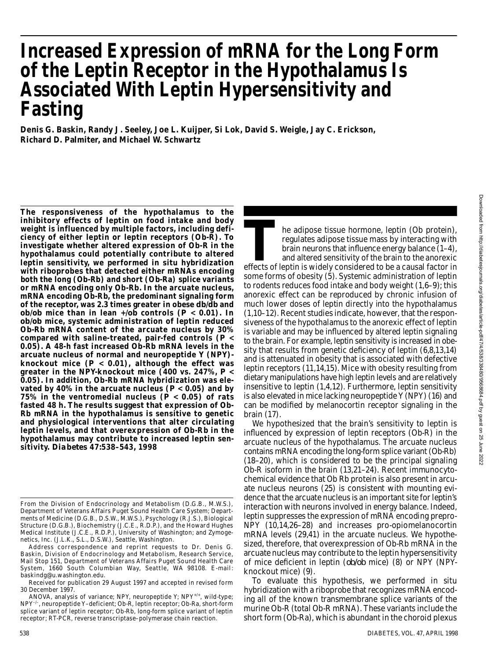# **Increased Expression of mRNA for the Long Form of the Leptin Receptor in the Hypothalamus Is Associated With Leptin Hypersensitivity and Fasting**

**Denis G. Baskin, Randy J. Seeley, Joe L. Kuijper, Si Lok, David S. Weigle, Jay C. Erickson, Richard D. Palmiter, and Michael W. Schwartz**

**The responsiveness of the hypothalamus to the inhibitory effects of leptin on food intake and body weight is influenced by multiple factors, including deficiency of either leptin or leptin receptors (Ob-R). To investigate whether altered expression of Ob-R in the hypothalamus could potentially contribute to altered leptin sensitivity, we performed in situ hybridization with riboprobes that detected either mRNAs encoding both the long (Ob-Rb) and short (Ob-Ra) splice variants or mRNA encoding only Ob-Rb. In the arcuate nucleus, mRNA encoding Ob-Rb, the predominant signaling form of the receptor, was 2.3 times greater in obese** *db/db* **and** *ob/ob* mice than in lean  $\neq$ /*ob* controls (*P* < 0.01). In *o b / o b* **mice, systemic administration of leptin reduced Ob-Rb mRNA content of the arcuate nucleus by 30% compared with saline-treated, pair-fed controls (***P* **< 0.05). A 48-h fast increased Ob-Rb mRNA levels in the arcuate nucleus of normal and neuropeptide Y (NPY) knockout mice (***P* **< 0.01), although the effect was greater in the NPY-knockout mice (400 vs. 247%,** *P* **< 0.05). In addition, Ob-Rb mRNA hybridization was elevated by 40% in the arcuate nucleus (***P* **< 0.05) and by 75% in the ventromedial nucleus (***P* **< 0.05) of rats fasted 48 h. The results suggest that expression of Ob-Rb mRNA in the hypothalamus is sensitive to genetic and physiological interventions that alter circulating leptin levels, and that overexpression of Ob-Rb in the hypothalamus may contribute to increased leptin sens i t i v i t y.** *Diabetes* **47:538–543, 1998**

The adipose tissue hormone, leptin (Ob protein), regulates adipose tissue mass by interacting with brain neurons that influence energy balance (1–4), and altered sensitivity of the brain to the anorexic effects of leptin i he adipose tissue hormone, leptin (Ob protein), regulates adipose tissue mass by interacting with brain neurons that influence energy balance (1–4), and altered sensitivity of the brain to the anorexic some forms of obesity (5). Systemic administration of leptin to rodents reduces food intake and body weight (1,6–9); this anorexic effect can be reproduced by chronic infusion of much lower doses of leptin directly into the hypothalamus (1,10–12). Recent studies indicate, however, that the responsiveness of the hypothalamus to the anorexic effect of leptin is variable and may be influenced by altered leptin signaling to the brain. For example, leptin sensitivity is increased in obesity that results from genetic deficiency of leptin (6,8,13,14) and is attenuated in obesity that is associated with defective leptin receptors (11,14,15). Mice with obesity resulting from dietary manipulations have high leptin levels and are relatively insensitive to leptin (1,4,12). Furthermore, leptin sensitivity is also elevated in mice lacking neuropeptide Y (NPY) (16) and can be modified by melanocortin receptor signaling in the brain (17).

We hypothesized that the brain's sensitivity to leptin is influenced by expression of leptin receptors (Ob-R) in the arcuate nucleus of the hypothalamus. The arcuate nucleus contains mRNA encoding the long-form splice variant (Ob-Rb) (18–20), which is considered to be the principal signaling Ob-R isoform in the brain (13,21–24). Recent immunocytochemical evidence that Ob Rb protein is also present in arcuate nucleus neurons (25) is consistent with mounting evidence that the arcuate nucleus is an important site for leptin's interaction with neurons involved in energy balance. Indeed, leptin suppresses the expression of mRNA encoding prepro-NPY (10,14,26–28) and increases pro-opiomelanocortin mRNA levels (29,41) in the arcuate nucleus. We hypothesized, therefore, that overexpression of Ob-Rb mRNA in the arcuate nucleus may contribute to the leptin hypersensitivity of mice deficient in leptin (*ob/ob* mice) (8) or NPY (NPYknockout mice) (9).

To evaluate this hypothesis, we performed in situ hybridization with a riboprobe that recognizes mRNA encoding all of the known transmembrane splice variants of the murine Ob-R (total Ob-R mRNA). These variants include the short form (Ob-Ra), which is abundant in the choroid plexus

From the Division of Endocrinology and Metabolism (D.G.B., M.W.S.), Department of Veterans Affairs Puget Sound Health Care System; Departments of Medicine (D.G.B., D.S.W., M.W.S.), Psychology (R.J.S.), Biological Structure (D.G.B.), Biochemistry (J.C.E., R.D.P.), and the Howard Hughes Medical Institute (J.C.E., R.D.P.), University of Washington; and Zymogenetics, Inc. (J.L.K., S.L., D.S.W.), Seattle, Washington.

Address correspondence and reprint requests to Dr. Denis G. Baskin, Division of Endocrinology and Metabolism, Research Service, Mail Stop 151, Department of Veterans Affairs Puget Sound Health Care System, 1660 South Columbian Way, Seattle, WA 98108. E-mail: baskindg@u.washington.edu.

Received for publication 29 August 1997 and accepted in revised form 30 December 1997.

ANOVA, analysis of variance; NPY, neuropeptide Y;  $NPY^{+/+}$ , wild-type; NPY<sup>-/-</sup>, neuropeptide Y-deficient; Ob-R, leptin receptor; Ob-Ra, short-form splice variant of leptin receptor; Ob-Rb, long-form splice variant of leptin receptor; RT-PCR, reverse transcriptase–polymerase chain reaction.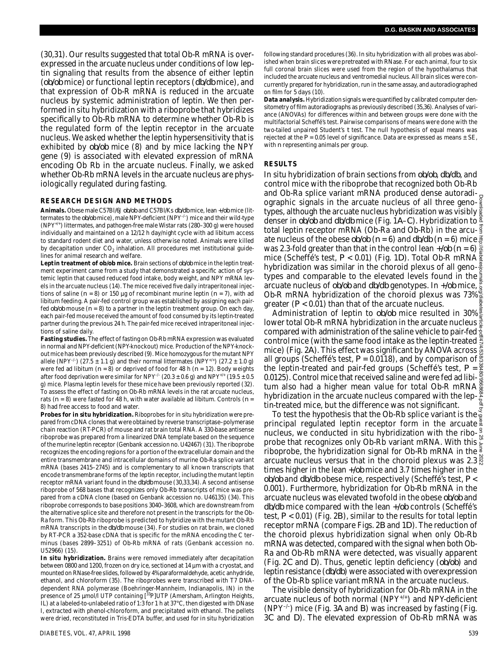(30,31). Our results suggested that total Ob-R mRNA is overexpressed in the arcuate nucleus under conditions of low leptin signaling that results from the absence of either leptin (*ob/ob* mice) or functional leptin receptors (*db/db* mice), and that expression of Ob-R mRNA is reduced in the arcuate nucleus by systemic administration of leptin. We then performed in situ hybridization with a riboprobe that hybridizes specifically to Ob-Rb mRNA to determine whether Ob-Rb is the regulated form of the leptin receptor in the arcuate nucleus. We asked whether the leptin hypersensitivity that is exhibited by  $ob/ob$  mice (8) and by mice lacking the NPY gene (9) is associated with elevated expression of mRNA encoding Ob Rb in the arcuate nucleus. Finally, we asked whether Ob-Rb mRNA levels in the arcuate nucleus are physiologically regulated during fasting.

## **RESEARCH DESIGN AND METHODS**

Animals. Obese male C57Bl/6J *ob/ob* and C57Bl/Ks *db/db* mice, lean +/ob mice (littermates to the  $ob/b$  mice), male NPY-deficient (NPY<sup>-/-</sup>) mice and their wild-type  $(NPY<sup>+/+</sup>)$  littermates, and pathogen-free male Wistar rats (280–300 g) were housed individually and maintained on a 12/12 h day/night cycle with ad libitum access to standard rodent diet and water, unless otherwise noted. Animals were killed by decapitation under CO<sub>2</sub> inhalation. All procedures met institutional guidelines for animal research and welfare.

Leptin treatment of  $ob/ob$  mice. Brain sections of  $ob/ob$  mice in the leptin treatment experiment came from a study that demonstrated a specific action of systemic leptin that caused reduced food intake, body weight, and NPY mRNA levels in the arcuate nucleus (14). The mice received five daily intraperitoneal injections of saline (*n* = 8) or 150 µg of recombinant murine leptin (*n* = 7), with ad libitum feeding. A pair-fed control group was established by assigning each pairfed  $ob/ob$  mouse ( $n = 8$ ) to a partner in the leptin treatment group. On each day, each pair-fed mouse received the amount of food consumed by its leptin-treated partner during the previous 24 h. The pair-fed mice received intraperitoneal injections of saline daily.

**Fasting studies.** The effect of fasting on Ob-Rb mRNA expression was evaluated in normal and NPY-deficient (NPY-knockout) mice. Production of the NPY-knockout mice has been previously described (9). Mice homozygous for the mutant NPY allele (NPY<sup>-/-</sup>) (27.5  $\pm$  1.1 g) and their normal littermates (NPY<sup>+/+</sup>) (27.2  $\pm$  1.0 g) were fed ad libitum (*n* = 8) or deprived of food for 48 h (*n* = 12). Body weights after food deprivation were similar for NPY<sup>-/-</sup> (20.3 ± 0.6 g) and NPY<sup>+/+</sup> (19.5 ± 0.5 g) mice. Plasma leptin levels for these mice have been previously reported (32). To assess the effect of fasting on Ob-Rb mRNA levels in the rat arcuate nucleus, rats  $(n = 8)$  were fasted for 48 h, with water available ad libitum. Controls  $(n = 1)$ 8) had free access to food and water.

**Probes for in situ hybridization.**Riboprobes for in situ hybridization were prepared from cDNA clones that were obtained by reverse transcriptase–polymerase chain reaction (RT-PCR) of mouse and rat brain total RNA. A 330-base antisense riboprobe was prepared from a linearized DNA template based on the sequence of the murine leptin receptor (Genbank accession no. U42467) (31). The riboprobe recognizes the encoding regions for a portion of the extracellular domain and the entire transmembrane and intracellular domains of murine Ob-Ra splice variant mRNA (bases 2415–2745) and is complementary to all known transcripts that encode transmembrane forms of the leptin receptor, including the mutant leptin receptor mRNA variant found in the *db/db* mouse (30,33,34). A second antisense riboprobe of 568 bases that recognizes only Ob-Rb transcripts of mice was prepared from a cDNA clone (based on Genbank accession no. U46135) (34). This riboprobe corresponds to base positions 3040–3608, which are downstream from the alternative splice site and therefore not present in the transcripts for the Ob-Ra form. This Ob-Rb riboprobe is predicted to hybridize with the mutant Ob-Rb mRNA transcripts in the *db/db* mouse (34). For studies on rat brain, we cloned by RT-PCR a 352-base cDNA that is specific for the mRNA encoding the C terminus (bases 2899–3251) of Ob-Rb mRNA of rats (Genbank accession no. U52966) (15).

**In situ hybridization.** Brains were removed immediately after decapitation between 0800 and 1200, frozen on dry ice, sectioned at 14 µm with a cryostat, and mounted on RNase-free slides, followed by 4% paraformaldehyde, acetic anhydride, ethanol, and chloroform (35). The riboprobes were transcribed with T7 DNAdependent RNA polymerase (Boehringer-Mannheim, Indianapolis, IN) in the presence of 25 µmol/l UTP containing [33P]UTP (Amersham, Arlington Heights, IL) at a labeled-to-unlabeled ratio of 1:3 for 1 h at 37°C, then digested with DNase I, extracted with phenol-chloroform, and precipitated with ethanol. The pellets were dried, reconstituted in Tris-EDTA buffer, and used for in situ hybridization

following standard procedures (36). In situ hybridization with all probes was abolished when brain slices were pretreated with RNase. For each animal, four to six full coronal brain slices were used from the region of the hypothalamus that included the arcuate nucleus and ventromedial nucleus. All brain slices were concurrently prepared for hybridization, run in the same assay, and autoradiographed on film for 5 days (10).

**Data analysis.** Hybridization signals were quantified by calibrated computer densitometry of film autoradiographs as previously described (35,36). Analyses of variance (ANOVAs) for differences within and between groups were done with the multifactorial Scheffé's test. Pairwise comparisons of means were done with the two-tailed unpaired Student's *t* test. The null hypothesis of equal means was rejected at the  $P = 0.05$  level of significance. Data are expressed as means  $\pm$  SE, with *n* representing animals per group.

## **RESULTS**

In situ hybridization of brain sections from *ob/ob*, *db/db*, and control mice with the riboprobe that recognized both Ob-Rb and Ob-Ra splice variant mRNA produced dense autoradiographic signals in the arcuate nucleus of all three genotypes, although the arcuate nucleus hybridization was visibly  $\frac{8}{8}$ denser in *ob/ob* and *db/db* mice (Fig. 1A–*C*). Hybridization to  $\frac{8}{3}$ total leptin receptor mRNA (Ob-Ra and Ob-Rb) in the arcu- $\frac{3}{9}$ ate nucleus of the obese  $ob/ob$  ( $n = 6$ ) and  $db/db$  ( $n = 6$ ) mice  $\frac{3}{6}$ was 2.3-fold greater than that in the control lean  $+\!$ *ob* (*n* = 6)  $\geq$ mice (Scheffé's test, *P* < 0.01) (Fig. 1*D*). Total Ob-R mRNA hybridization was similar in the choroid plexus of all geno- $\frac{8}{5}$ types and comparable to the elevated levels found in the arcuate nucleus of *ob/ob* and *db/db* genotypes. In  $\neq$ /ob mice, Ob-R mRNA hybridization of the choroid plexus was 73% greater (*P* < 0.01) than that of the arcuate nucleus. Downloaded from http://diabetesjournals.org/diabetes/article-pdf/47/4/538/338480/9568684.pdf by guest on 25 June 2022

Administration of leptin to *ob/ob* mice resulted in 30% & lower total Ob-R mRNA hybridization in the arcuate nucleus compared with administration of the saline vehicle to pair-fed  $\frac{2}{5}$ control mice (with the same food intake as the leptin-treated  $\frac{8}{3}$ mice) (Fig. 2*A*). This effect was significant by ANOVA across all groups (Scheffé's test, *P* = 0.0118), and by comparison of the leptin-treated and pair-fed groups (Scheffé's test, *P* = 0.0125). Control mice that received saline and were fed ad libitum also had a higher mean value for total Ob-R mRNA hybridization in the arcuate nucleus compared with the lep- $\frac{8}{8}$ tin-treated mice, but the difference was not significant.

To test the hypothesis that the Ob-Rb splice variant is the principal regulated leptin receptor form in the arcuate nucleus, we conducted in situ hybridization with the riboprobe that recognizes only Ob-Rb variant mRNA. With this  $\frac{6}{5}$ riboprobe, the hybridization signal for Ob-Rb mRNA in the arcuate nucleus versus that in the choroid plexus was  $2.3\%$ times higher in the lean  $\frac{1}{\phi}$  mice and 3.7 times higher in the *ob/ob* and *db/db* obese mice, respectively (Scheffé's test, P< 0.001). Furthermore, hybridization for Ob-Rb mRNA in the arcuate nucleus was elevated twofold in the obese  $ob/ob$  and *db/db* mice compared with the lean  $\frac{\partial f}{\partial x}$  controls (Scheffé's test, *P* < 0.01) (Fig. 2*B*), similar to the results for total leptin receptor mRNA (compare Figs. 2*B* and 1*D*). The reduction of the choroid plexus hybridization signal when only Ob-Rb mRNA was detected, compared with the signal when both Ob-Ra and Ob-Rb mRNA were detected, was visually apparent (Fig. 2*C* and *D*). Thus, genetic leptin deficiency (*ob/ob*) and leptin resistance (*db/db*) were associated with overexpression of the Ob-Rb splice variant mRNA in the arcuate nucleus.

The visible density of hybridization for Ob-Rb mRNA in the arcuate nucleus of both normal (NPY $^{+/+}$ ) and NPY-deficient ( $N$ PY<sup>-/-</sup>) mice (Fig. 3*A* and *B*) was increased by fasting (Fig. 3*C* and *D*). The elevated expression of Ob-Rb mRNA was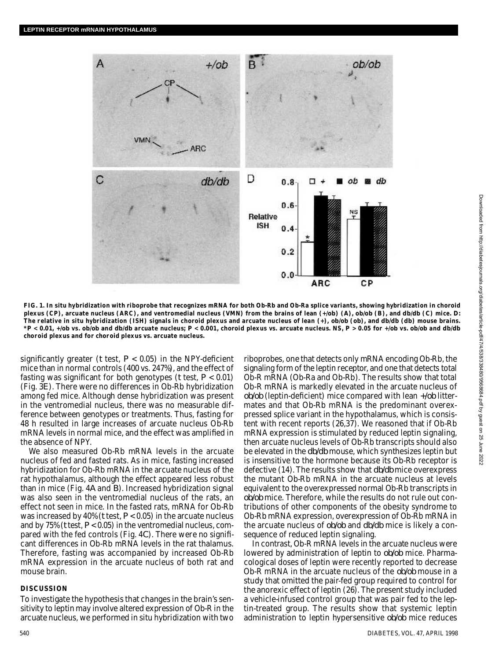

**FIG. 1. In situ hybridization with riboprobe that recognizes mRNA for both Ob-Rb and Ob-Ra splice variants, showing hybridization in choroid** plexus (CP), arcuate nucleus (ARC), and ventromedial nucleus (VMN) from the brains of lean  $(\neq ob)$  (A),  $ob/ob$  (B), and  $db/db$  (C) mice. D: The relative in situ hybridization (ISH) signals in choroid plexus and arcuate nucleus of lean  $(+)$ ,  $ob/ob$  (ob), and  $db/db$  (db) mouse brains. \*P < 0.01, +/ob vs. ob/ob and db/db arcuate nucleus; P < 0.001, choroid plexus vs. arcuate nucleus. NS, P > 0.05 for +/ob vs. ob/ob and db/db **choroid plexus and for choroid plexus vs. arcuate nucleus.**

significantly greater ( $t$  test,  $P < 0.05$ ) in the NPY-deficient mice than in normal controls (400 vs. 247%), and the effect of fasting was significant for both genotypes (*t* test, *P* < 0.01) (Fig. 3*E*). There were no differences in Ob-Rb hybridization among fed mice. Although dense hybridization was present in the ventromedial nucleus, there was no measurable difference between genotypes or treatments. Thus, fasting for 48 h resulted in large increases of arcuate nucleus Ob-Rb mRNA levels in normal mice, and the effect was amplified in the absence of NPY.

We also measured Ob-Rb mRNA levels in the arcuate nucleus of fed and fasted rats. As in mice, fasting increased hybridization for Ob-Rb mRNA in the arcuate nucleus of the rat hypothalamus, although the effect appeared less robust than in mice (Fig. 4*A* and *B*). Increased hybridization signal was also seen in the ventromedial nucleus of the rats, an effect not seen in mice. In the fasted rats, mRNA for Ob-Rb was increased by 40% (*t* test, *P* < 0.05) in the arcuate nucleus and by 75% (*t* test, *P* < 0.05) in the ventromedial nucleus, compared with the fed controls (Fig. 4*C*). There were no significant differences in Ob-Rb mRNA levels in the rat thalamus. Therefore, fasting was accompanied by increased Ob-Rb mRNA expression in the arcuate nucleus of both rat and mouse brain.

#### **DISCUSSION**

To investigate the hypothesis that changes in the brain's sensitivity to leptin may involve altered expression of Ob-R in the arcuate nucleus, we performed in situ hybridization with two riboprobes, one that detects only mRNA encoding Ob-Rb, the signaling form of the leptin receptor, and one that detects total Ob-R mRNA (Ob-Ra and Ob-Rb). The results show that total Ob-R mRNA is markedly elevated in the arcuate nucleus of  $ob/ob$  (leptin-deficient) mice compared with lean  $+/ob$  littermates and that Ob-Rb mRNA is the predominant overexpressed splice variant in the hypothalamus, which is consistent with recent reports (26,37). We reasoned that if Ob-Rb mRNA expression is stimulated by reduced leptin signaling, then arcuate nucleus levels of Ob-Rb transcripts should also be elevated in the  $db/db$  mouse, which synthesizes leptin but is insensitive to the hormone because its Ob-Rb receptor is defective (14). The results show that  $db/db$  mice overexpress the mutant Ob-Rb mRNA in the arcuate nucleus at levels equivalent to the overexpressed normal Ob-Rb transcripts in *ob/ob* mice. Therefore, while the results do not rule out contributions of other components of the obesity syndrome to Ob-Rb mRNA expression, overexpression of Ob-Rb mRNA in the arcuate nucleus of *ob/ob* and *db/db* mice is likely a consequence of reduced leptin signaling.

In contrast, Ob-R mRNA levels in the arcuate nucleus were lowered by administration of leptin to *ob/ob* mice. Pharmacological doses of leptin were recently reported to decrease Ob-R mRNA in the arcuate nucleus of the *ob/ob* mouse in a study that omitted the pair-fed group required to control for the anorexic effect of leptin (26). The present study included a vehicle-infused control group that was pair fed to the leptin-treated group. The results show that systemic leptin administration to leptin hypersensitive *ob/ob* mice reduces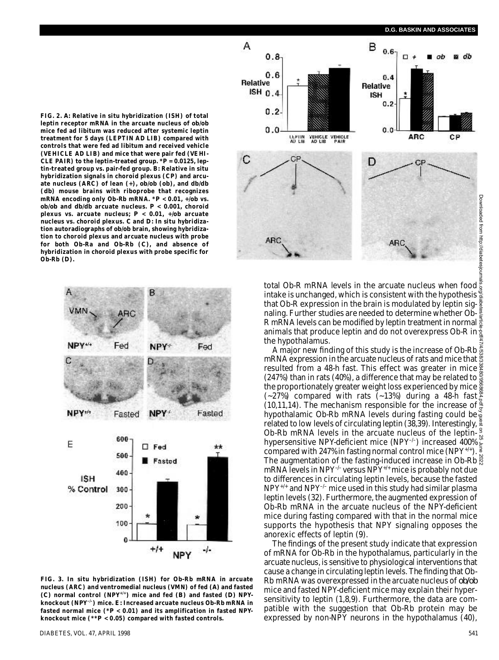FIG. 2. A: Relative in situ hybridization (ISH) of total leptin receptor mRNA in the arcuate nucleus of  $ob/ob$ **mice fed ad libitum was reduced after systemic leptin treatment for 5 days (LEPTIN AD LIB) compared with controls that were fed ad libitum and received vehicle (VEHICLE AD LIB) and mice that were pair fed (VEHI-**CLE PAIR) to the leptin-treated group.  $*P = 0.0125$ , leptin-treated group vs. pair-fed group. *B*: Relative in situ **hybridization signals in choroid plexus (CP) and arcu**ate nucleus (ARC) of lean (+),  $ob/ob$  (ob), and  $db/db$ (db) mouse brains with riboprobe that recognizes mRNA encoding only Ob-Rb mRNA.  $*P < 0.01$ ,  $\frac{1}{10}$  vs.  $ob/ob$  and  $db/db$  arcuate nucleus.  $P < 0.001$ , choroid **plexus vs. arcuate nucleus;**  $P < 0.01$ **,**  $\frac{1}{10}$  **arcuate** nucleus vs. choroid plexus. *C* and *D:* In situ hybridization autoradiographs of  $ob/ob$  brain, showing hybridiza**tion to choroid plexus and arcuate nucleus with probe for both Ob-Ra and Ob-Rb (***C***), and absence of hybridization in choroid plexus with probe specific for**  $Ob-Rb$   $(D)$ .



**FIG. 3. In situ hybridization (ISH) for Ob-Rb mRNA in arcuate nucleus (ARC) and ventromedial nucleus (VMN) of fed** *( A )* **and fasted**  $(C)$  normal control (NPY<sup>+/+</sup>) mice and fed  $(B)$  and fasted  $(D)$  NPYknockout (NPY<sup>-/-</sup>) mice. E: Increased arcuate nucleus Ob-Rb mRNA in **fasted normal mice (\****P* **< 0.01) and its amplification in fasted NPYknockout mice (\*\****P* **< 0.05) compared with fasted controls.**



total Ob-R mRNA levels in the arcuate nucleus when food intake is unchanged, which is consistent with the hypothesis that Ob-R expression in the brain is modulated by leptin signaling. Further studies are needed to determine whether Ob-R mRNA levels can be modified by leptin treatment in normal  $\frac{3}{2}$ animals that produce leptin and do not overexpress Ob-R in  $\frac{3}{2}$ the hypothalamus.

A major new finding of this study is the increase of Ob-Rb $\frac{5}{22}$ mRNA expression in the arcuate nucleus of rats and mice that  $\tilde{\mathbb{S}}$ resulted from a 48-h fast. This effect was greater in mice (247%) than in rats (40%), a difference that may be related to the proportionately greater weight loss experienced by mice (~27%) compared with rats (~13%) during a 48-h fast (10,11,14). The mechanism responsible for the increase of hypothalamic Ob-Rb mRNA levels during fasting could be related to low levels of circulating leptin (38,39). Interestingly,  $\frac{8}{3}$ Ob-Rb mRNA levels in the arcuate nucleus of the leptinhypersensitive NPY-deficient mice (NPY<sup>-/-</sup>) increased 400% compared with 247% in fasting normal control mice (NPY<sup>+/+</sup>). The augmentation of the fasting-induced increase in Ob-Rb $\frac{8}{5}$ mRNA levels in NPY $^{-/-}$  versus NPY $^{+/+}$  mice is probably not due to differences in circulating leptin levels, because the fasted  $NPY^{+/+}$  and  $NPY^{-/-}$  mice used in this study had similar plasma leptin levels (32). Furthermore, the augmented expression of Ob-Rb mRNA in the arcuate nucleus of the NPY-deficient mice during fasting compared with that in the normal mice supports the hypothesis that NPY signaling opposes the anorexic effects of leptin (9). Downloaded from http://diabetesjournals.org/diabetes/article-pdf/47/4/538/338480/9568684.pdf by guest on 25 June 2022

The findings of the present study indicate that expression of mRNA for Ob-Rb in the hypothalamus, particularly in the arcuate nucleus, is sensitive to physiological interventions that cause a change in circulating leptin levels. The finding that Ob-Rb mRNA was overexpressed in the arcuate nucleus of  $ob/ob$ mice and fasted NPY-deficient mice may explain their hypersensitivity to leptin (1,8,9). Furthermore, the data are compatible with the suggestion that Ob-Rb protein may be expressed by non-NPY neurons in the hypothalamus (40),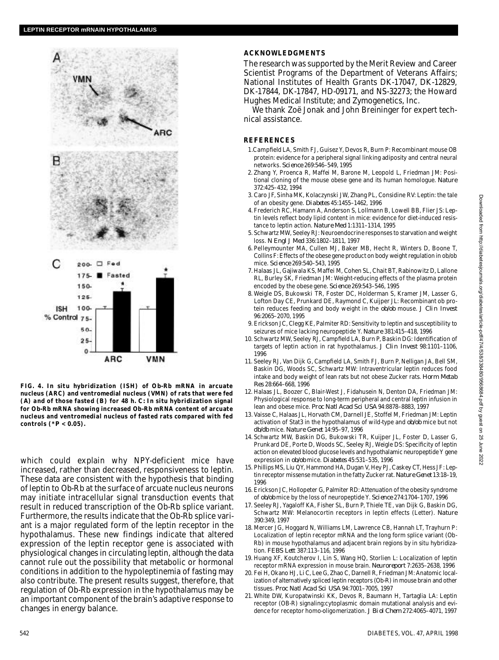

**FIG. 4. In situ hybridization (ISH) of Ob-Rb mRNA in arcuate nucleus (ARC) and ventromedial nucleus (VMN) of rats that were fed (***A***) and of those fasted (***B***) f o r 48 h.** *C :* **In situ hybridization signal for Ob-Rb mRNA showing increased Ob-Rb mRNA content of arcuate nucleus and ventromedial nucleus of fasted rats compared with fed controls (\****P* **< 0.05).**

which could explain why NPY-deficient mice have increased, rather than decreased, responsiveness to leptin. These data are consistent with the hypothesis that binding of leptin to Ob-Rb at the surface of arcuate nucleus neurons may initiate intracellular signal transduction events that result in reduced transcription of the Ob-Rb splice variant. Furthermore, the results indicate that the Ob-Rb splice variant is a major regulated form of the leptin receptor in the hypothalamus. These new findings indicate that altered expression of the leptin receptor gene is associated with physiological changes in circulating leptin, although the data cannot rule out the possibility that metabolic or hormonal conditions in addition to the hypoleptinemia of fasting may also contribute. The present results suggest, therefore, that regulation of Ob-Rb expression in the hypothalamus may be an important component of the brain's adaptive response to changes in energy balance.

# **ACKNOWLEDGMENTS**

The research was supported by the Merit Review and Career Scientist Programs of the Department of Veterans Affairs; National Institutes of Health Grants DK-17047, DK-12829, DK-17844, DK-17847, HD-09171, and NS-32273; the Howard Hughes Medical Institute; and Zymogenetics, Inc.

We thank Zoë Jonak and John Breininger for expert technical assistance.

### **R E F E R E N C E S**

- 1. Camp field LA, Smith F.J. Guisez Y, Devos R, Burn P; Recombinant mouse OB protein: evidence for a peripheral signal linking adiposity and central neural networks. *Science* 269:546-549, 1995
- 2 . Zhang Y, Proenca R, Maffei M, Barone M, Leopold L, Friedman JM: Positional cloning of the mouse obese gene and its human homologue. Nature 372:425–432, 1994
- 3 . Caro JF, Sinha MK, Kolaczynski JW, Zhang PL, Considine RV: Leptin: the tale of an obesity gene. *Diabetes* 45:1455-1462, 1996
- 4 . Frederich RC, Hamann A, Anderson S, Lollmann B, Lowell BB, Flier JS: Leptin levels reflect body lipid content in mice: evidence for diet-induced resistance to leptin action. *Nature Med* 1:1311–1314, 1995
- 5 . Schwartz MW, Seeley RJ: Neuroendocrine responses to starvation and weight loss. *N Engl J Med* 336:1802–1811, 1997
- 6 . Pelleymounter MA, Cullen MJ, Baker MB, Hecht R, Winters D, Boone T, Collins F: Effects of the obese gene product on body weight regulation in ob/ob mice. *Science* 269:540-543, 1995
- 7 . Halaas JL, Gajiwala KS, Maffei M, Cohen SL, Chait BT, Rabinowitz D, Lallone RL, Burley SK, Friedman JM: Weight-reducing effects of the plasma protein encoded by the obese gene. *Science* 269:543-546, 1995
- 8 . Weigle DS, Bukowski TR, Foster DC, Holderman S, Kramer JM, Lasser G, Lofton Day CE, Prunkard DE, Raymond C, Kuijper JL: Recombinant ob protein reduces feeding and body weight in the  $ob/ob$  mouse. *J Clin Invest* 96:2065–2070, 1995
- 9 . Erickson JC, Clegg KE, Palmiter RD: Sensitivity to leptin and susceptibility to seizures of mice lacking neuropeptide Y. Nature 381:415-418, 1996
- 10. Schwartz MW, Seeley RJ, Campfield LA, Burn P, Baskin DG: Identification of targets of leptin action in rat hypothalamus. *J Clin Invest* 98:1101-1106, 1996
- 11. Seeley RJ, Van Dijk G, Campfield LA, Smith FJ, Burn P, Nelligan JA, Bell SM, Baskin DG, Woods SC, Schwartz MW: Intraventricular leptin reduces food intake and body weight of lean rats but not obese Zucker rats. *Horm Metab R e s* 28:664–668, 1996
- 12. Halaas JL, Boozer C, Blair-West J, Fidahusein N, Denton DA, Friedman JM: Physiological response to long-term peripheral and central leptin infusion in lean and obese mice. *Proc Natl Acad Sci USA* 94:8878–8883, 1997
- 1 3 . Vaisse C, Halaas JL, Horvath CM, Darnell JE, Stoffel M, Friedman JM: Leptin activation of Stat3 in the hypothalamus of wild-type and  $ob/ob$  mice but not *d b / d b* mice. *Nature Genet* 14:95–97, 1996
- 14. Schwartz MW, Baskin DG, Bukowski TR, Kuijper JL, Foster D, Lasser G, Prunkard DE, Porte D, Woods SC, Seeley RJ, Weigle DS: Specificity of leptin action on elevated blood glucose levels and hypothalamic neuropeptide Y gene expression in  $ob$ /ob mice. *Diabetes* 45:531-535, 1996
- 15. Phillips MS, Liu QY, Hammond HA, Dugan V, Hey PJ, Caskey CT, Hess JF: Leptin receptor missense mutation in the fatty Zucker rat. *Nature Genet* 13:18-19, 1996
- 16. Erickson JC, Hollopeter G, Palmiter RD: Attenuation of the obesity syndrome of *ob/ob* mice by the loss of neuropeptide Y. *Science* 274:1704–1707, 1996
- 17. Seeley RJ, Yagaloff KA, Fisher SL, Burn P, Thiele TE, van Dijk G, Baskin DG, Schwartz MW: Melanocortin receptors in leptin effects (Letter). Nature 390:349, 1997
- 18. Mercer JG, Hoggard N, Williams LM, Lawrence CB, Hannah LT, Trayhurn P: Localization of leptin receptor mRNA and the long form splice variant (Ob-Rb) in mouse hypothalamus and adjacent brain regions by in situ hybridization. *FEBS Lett* 387:113–116, 1996
- 19. Huang XF, Koutcherov I, Lin S, Wang HQ, Storlien L: Localization of leptin receptor mRNA expression in mouse brain. *Neuroreport* 7:2635-2638, 1996
- 20. Fei H, Okano HJ, Li C, Lee G, Zhao C, Darnell R, Friedman JM: Anatomic localization of alternatively spliced leptin receptors (Ob-R) in mouse brain and other tissues. *Proc Natl Acad Sci USA* 94:7001–7005, 1997
- 21. White DW, Kuropatwinski KK, Devos R, Baumann H, Tartaglia LA: Leptin receptor (OB-R) signaling:cytoplasmic domain mutational analysis and evidence for receptor homo-oligomerization. *J Biol Chem* 272:4065–4071, 1997